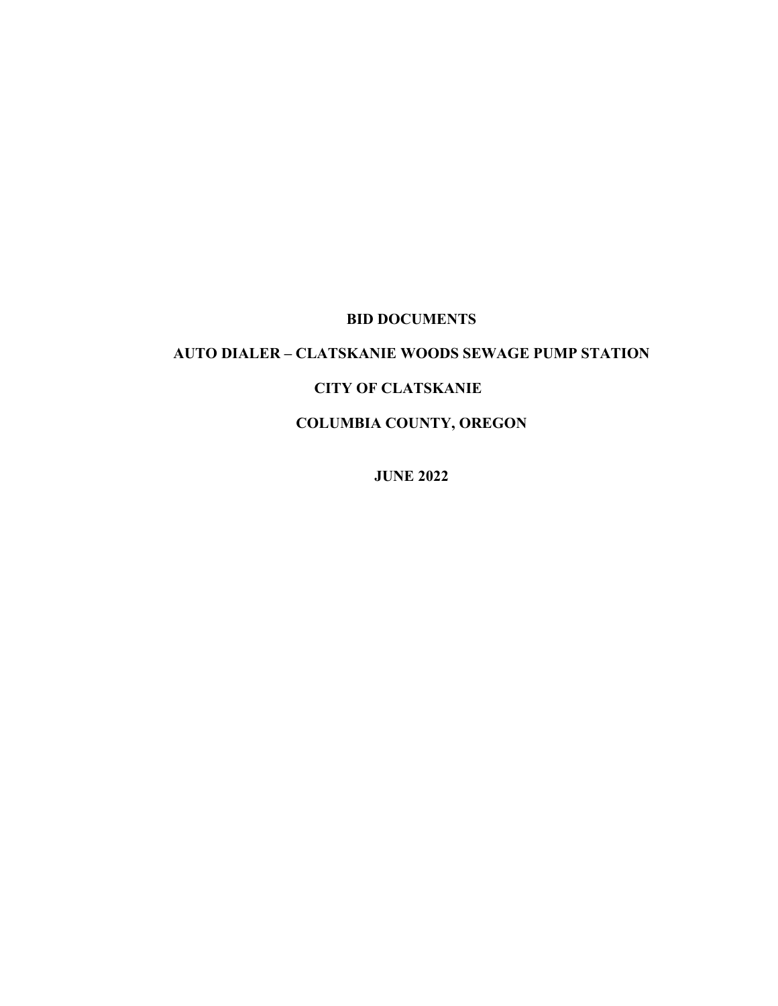## **BID DOCUMENTS**

# **AUTO DIALER – CLATSKANIE WOODS SEWAGE PUMP STATION**

### **CITY OF CLATSKANIE**

**COLUMBIA COUNTY, OREGON**

**JUNE 2022**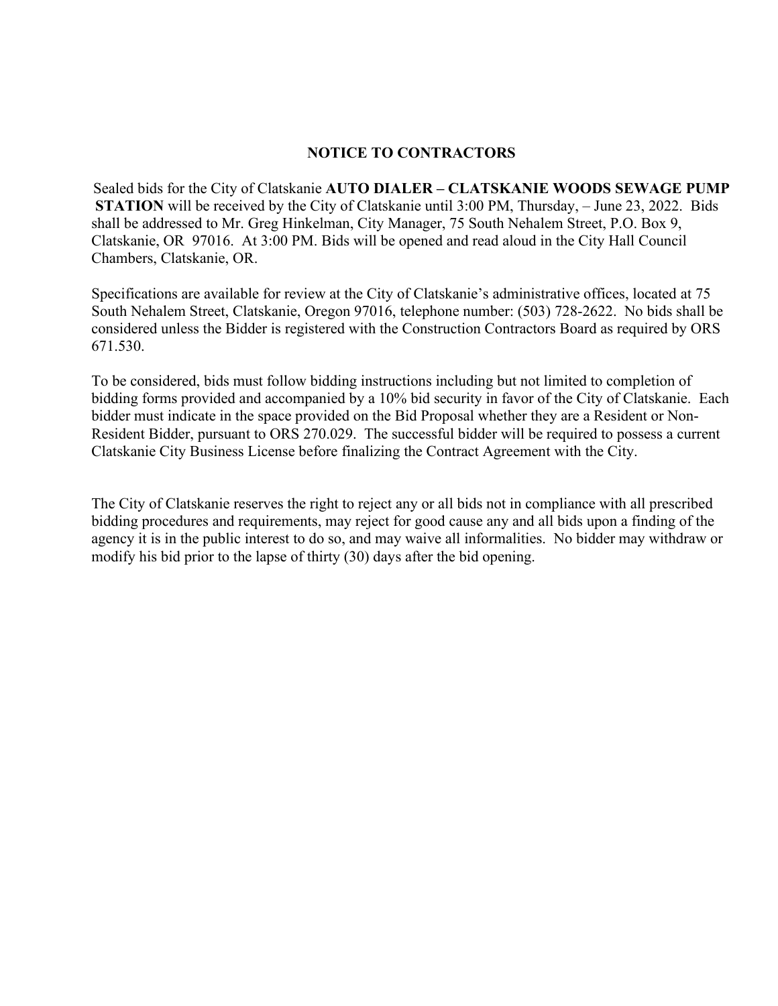#### **NOTICE TO CONTRACTORS**

Sealed bids for the City of Clatskanie **AUTO DIALER – CLATSKANIE WOODS SEWAGE PUMP STATION** will be received by the City of Clatskanie until 3:00 PM, Thursday, – June 23, 2022. Bids shall be addressed to Mr. Greg Hinkelman, City Manager, 75 South Nehalem Street, P.O. Box 9, Clatskanie, OR 97016. At 3:00 PM. Bids will be opened and read aloud in the City Hall Council Chambers, Clatskanie, OR.

Specifications are available for review at the City of Clatskanie's administrative offices, located at 75 South Nehalem Street, Clatskanie, Oregon 97016, telephone number: (503) 728-2622. No bids shall be considered unless the Bidder is registered with the Construction Contractors Board as required by ORS 671.530.

To be considered, bids must follow bidding instructions including but not limited to completion of bidding forms provided and accompanied by a 10% bid security in favor of the City of Clatskanie. Each bidder must indicate in the space provided on the Bid Proposal whether they are a Resident or Non-Resident Bidder, pursuant to ORS 270.029. The successful bidder will be required to possess a current Clatskanie City Business License before finalizing the Contract Agreement with the City.

The City of Clatskanie reserves the right to reject any or all bids not in compliance with all prescribed bidding procedures and requirements, may reject for good cause any and all bids upon a finding of the agency it is in the public interest to do so, and may waive all informalities. No bidder may withdraw or modify his bid prior to the lapse of thirty (30) days after the bid opening.